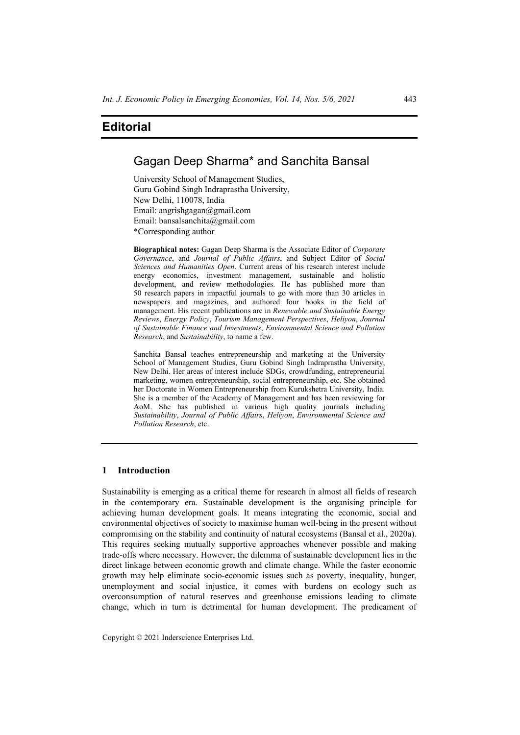## Gagan Deep Sharma\* and Sanchita Bansal

University School of Management Studies, Guru Gobind Singh Indraprastha University, New Delhi, 110078, India Email: angrishgagan@gmail.com Email: bansalsanchita@gmail.com \*Corresponding author

**Biographical notes:** Gagan Deep Sharma is the Associate Editor of *Corporate Governance*, and *Journal of Public Affairs*, and Subject Editor of *Social Sciences and Humanities Open*. Current areas of his research interest include energy economics, investment management, sustainable and holistic development, and review methodologies. He has published more than 50 research papers in impactful journals to go with more than 30 articles in newspapers and magazines, and authored four books in the field of management. His recent publications are in *Renewable and Sustainable Energy Reviews*, *Energy Policy*, *Tourism Management Perspectives*, *Heliyon*, *Journal of Sustainable Finance and Investments*, *Environmental Science and Pollution Research*, and *Sustainability*, to name a few.

Sanchita Bansal teaches entrepreneurship and marketing at the University School of Management Studies, Guru Gobind Singh Indraprastha University, New Delhi. Her areas of interest include SDGs, crowdfunding, entrepreneurial marketing, women entrepreneurship, social entrepreneurship, etc. She obtained her Doctorate in Women Entrepreneurship from Kurukshetra University, India. She is a member of the Academy of Management and has been reviewing for AoM. She has published in various high quality journals including *Sustainability*, *Journal of Public Affairs*, *Heliyon*, *Environmental Science and Pollution Research*, etc.

### **1 Introduction**

Sustainability is emerging as a critical theme for research in almost all fields of research in the contemporary era. Sustainable development is the organising principle for achieving human development goals. It means integrating the economic, social and environmental objectives of society to maximise human well-being in the present without compromising on the stability and continuity of natural ecosystems (Bansal et al., 2020a). This requires seeking mutually supportive approaches whenever possible and making trade-offs where necessary. However, the dilemma of sustainable development lies in the direct linkage between economic growth and climate change. While the faster economic growth may help eliminate socio-economic issues such as poverty, inequality, hunger, unemployment and social injustice, it comes with burdens on ecology such as overconsumption of natural reserves and greenhouse emissions leading to climate change, which in turn is detrimental for human development. The predicament of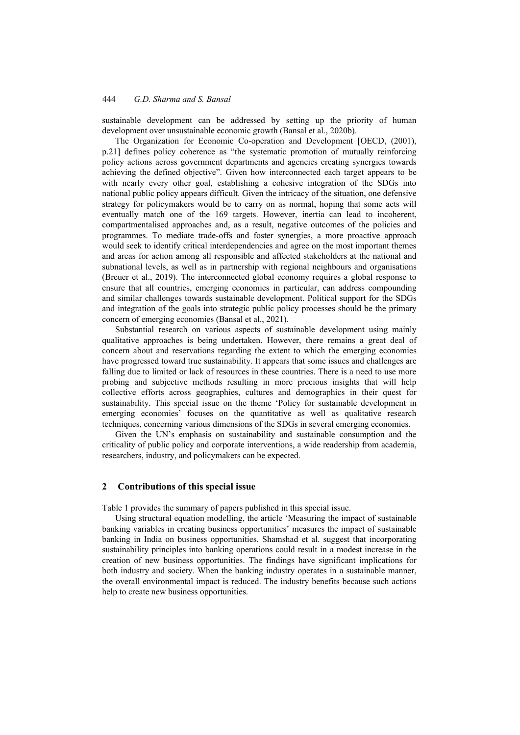sustainable development can be addressed by setting up the priority of human development over unsustainable economic growth (Bansal et al., 2020b).

The Organization for Economic Co-operation and Development [OECD, (2001), p.21] defines policy coherence as "the systematic promotion of mutually reinforcing policy actions across government departments and agencies creating synergies towards achieving the defined objective". Given how interconnected each target appears to be with nearly every other goal, establishing a cohesive integration of the SDGs into national public policy appears difficult. Given the intricacy of the situation, one defensive strategy for policymakers would be to carry on as normal, hoping that some acts will eventually match one of the 169 targets. However, inertia can lead to incoherent, compartmentalised approaches and, as a result, negative outcomes of the policies and programmes. To mediate trade-offs and foster synergies, a more proactive approach would seek to identify critical interdependencies and agree on the most important themes and areas for action among all responsible and affected stakeholders at the national and subnational levels, as well as in partnership with regional neighbours and organisations (Breuer et al., 2019). The interconnected global economy requires a global response to ensure that all countries, emerging economies in particular, can address compounding and similar challenges towards sustainable development. Political support for the SDGs and integration of the goals into strategic public policy processes should be the primary concern of emerging economies (Bansal et al., 2021).

Substantial research on various aspects of sustainable development using mainly qualitative approaches is being undertaken. However, there remains a great deal of concern about and reservations regarding the extent to which the emerging economies have progressed toward true sustainability. It appears that some issues and challenges are falling due to limited or lack of resources in these countries. There is a need to use more probing and subjective methods resulting in more precious insights that will help collective efforts across geographies, cultures and demographics in their quest for sustainability. This special issue on the theme 'Policy for sustainable development in emerging economies' focuses on the quantitative as well as qualitative research techniques, concerning various dimensions of the SDGs in several emerging economies.

Given the UN's emphasis on sustainability and sustainable consumption and the criticality of public policy and corporate interventions, a wide readership from academia, researchers, industry, and policymakers can be expected.

#### **2 Contributions of this special issue**

Table 1 provides the summary of papers published in this special issue.

Using structural equation modelling, the article 'Measuring the impact of sustainable banking variables in creating business opportunities' measures the impact of sustainable banking in India on business opportunities. Shamshad et al. suggest that incorporating sustainability principles into banking operations could result in a modest increase in the creation of new business opportunities. The findings have significant implications for both industry and society. When the banking industry operates in a sustainable manner, the overall environmental impact is reduced. The industry benefits because such actions help to create new business opportunities.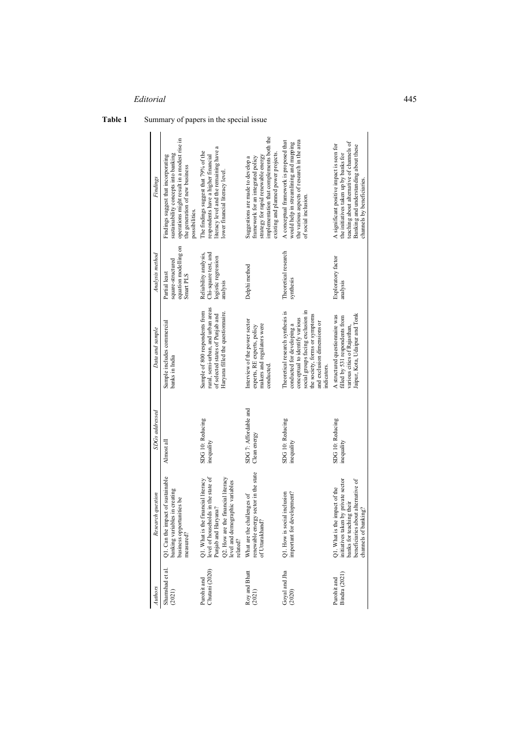**Table 1** Summary of papers in the special issue

| Findings          | operations might result in a modest rise in<br>sustainability concepts into banking<br>Findings suggest that incorporating<br>the generation of new business<br>possibilities | literacy level and the remaining have a<br>The findings suggest that 79% of the<br>respondents have a higher financial<br>lower financial literacy level                              | implementation that complements both the<br>existing and planned power projects.<br>strategy for rapid renewable energy<br>framework for an integrated policy<br>Suggestions are made to develop a | the various aspects of research in the area<br>A conceptual framework is proposed that<br>would help in streamlining and mapping<br>of social inclusion                                                                        | teaching about alternative of channels of<br>A significant positive impact is seen for<br>Banking and understanding about these<br>the initiatives taken up by banks for<br>channels by beneficiaries |
|-------------------|-------------------------------------------------------------------------------------------------------------------------------------------------------------------------------|---------------------------------------------------------------------------------------------------------------------------------------------------------------------------------------|----------------------------------------------------------------------------------------------------------------------------------------------------------------------------------------------------|--------------------------------------------------------------------------------------------------------------------------------------------------------------------------------------------------------------------------------|-------------------------------------------------------------------------------------------------------------------------------------------------------------------------------------------------------|
| Analysis method   | equation modelling on<br>square-structured<br>Partial least<br>Smart PLS                                                                                                      | Reliability analysis,<br>Chi-square test, and<br>logistic regression<br>analysis                                                                                                      | Delphi method                                                                                                                                                                                      | Theoretical research<br>synthesis                                                                                                                                                                                              | Exploratory factor<br>analysis                                                                                                                                                                        |
| Data and sample   | Sample includes commercial<br>banks in India                                                                                                                                  | rural, semi-urban, and urban areas<br>Sample of 800 respondents from<br>Haryana filled the questionnaire.<br>of selected states of Punjab and                                         | Interview of the power sector<br>makers and regulators were<br>experts, RE experts, policy<br>conducted                                                                                            | social groups facing exclusion in<br>Theoretical research synthesis is<br>the society, forms or symptoms<br>conceptual to identify various<br>and exclusion dimensions or<br>conducted for developing a<br><i>indicators</i> . | Jaipur, Kota, Udaipur and Tonk<br>A structured questionnaire was<br>filled by 531 respondents from<br>various cities of Rajasthan                                                                     |
| SDGs addressed    | Almost all                                                                                                                                                                    | SDG 10: Reducing<br>inequality                                                                                                                                                        | SDG 7: Affordable and<br>Clean energy                                                                                                                                                              | SDG 10: Reducing<br>inequality                                                                                                                                                                                                 | SDG 10: Reducing<br>inequality                                                                                                                                                                        |
| Research question | pact of sustainable<br>les in creating<br>business opportunities be<br>banking variabl<br>Q1. Can the im<br>measured?                                                         | Q1. What is the financial literacy<br>level of households in the state of<br>Punjab and Haryana?<br>Q2. How are the financial literacy<br>level and demographic variables<br>related? | renewable energy sector in the state<br>What are the challenges of<br>of Uttarakhand'                                                                                                              | Q1. How is social inclusion<br>important for development?                                                                                                                                                                      | Q1. What is the impact of the initiatives taken by private sector<br>beneficiaries about alternative of<br>banks for teaching their<br>ıking?<br>channels of ban                                      |
| Authors           | Shamshad et al.<br>(2021)                                                                                                                                                     | Chutani (2020)<br>Purohit and                                                                                                                                                         | Roy and Bhatt<br>(2021)                                                                                                                                                                            | Goyal and Jha<br>(2020)                                                                                                                                                                                                        | Bindra (2021)<br>Purohit and                                                                                                                                                                          |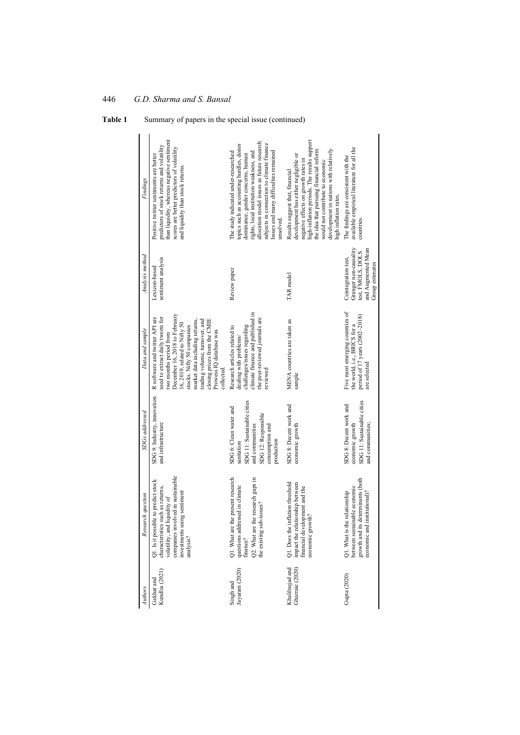| Findings              | than liquidity, whereas negative sentiment<br>predictors of stock returns and volatility<br>scores are better predictors of volatility<br>Positive twitter sentiments are better<br>and liquidity than stock returns.                                                                                                                   | allocation model issues as future research<br>subjects in connection to climate finance<br>topics such as accounting hurdles, donor<br>Issues and many difficulties remained<br>rights, local institution weakness, and<br>The study indicated under-researched<br>dominance, gender concerns, human<br>unsolved. | high-inflation periods. The results support<br>development in nations with relatively<br>the idea that pursuing financial reform<br>development has either negligible or<br>negative effects on growth rates in<br>would not contribute to economic<br>Results suggest that, financial<br>high inflation rates. | available empirical literature for all the<br>The findings are consistent with the<br>countries                                      |
|-----------------------|-----------------------------------------------------------------------------------------------------------------------------------------------------------------------------------------------------------------------------------------------------------------------------------------------------------------------------------------|-------------------------------------------------------------------------------------------------------------------------------------------------------------------------------------------------------------------------------------------------------------------------------------------------------------------|-----------------------------------------------------------------------------------------------------------------------------------------------------------------------------------------------------------------------------------------------------------------------------------------------------------------|--------------------------------------------------------------------------------------------------------------------------------------|
| Analysis method       | sentiment analysis<br>Lexicon-based                                                                                                                                                                                                                                                                                                     | Review paper                                                                                                                                                                                                                                                                                                      | TAR model                                                                                                                                                                                                                                                                                                       | Granger non-causality<br>and Augmented Mean<br>test, FMOLS, DOLS<br>Cointegration test,<br>Group estimates                           |
| Data and sample       | December 16, 2018 to February<br>used to extract daily tweets for<br>R software and twitter API are<br>trading volume, turnover, and<br>closing prices from the CMIE<br>market data including returns,<br>16, 2019, related to Nifty 50<br>stocks. Nifty 50 companies<br>Prowess IQ database was<br>wo months period from<br>collected. | climate finance and published in<br>the peer-reviewed journals are<br>challenges/issues regarding<br>Research articles related to<br>dealing with problems/<br>reviewed                                                                                                                                           | MENA countries are taken as<br>sample                                                                                                                                                                                                                                                                           | Five most emerging countries of<br>period of 17 years (2002-2018)<br>the world, i.e., BRICS for a<br>are selected                    |
| <b>SDGs</b> addressed | SDG 9: Industry, innovation<br>and infrastructure                                                                                                                                                                                                                                                                                       | SDG 11: Sustainable cities<br>SDG 6: Clean water and<br>SDG 12: Responsible<br>and communities<br>consumption and<br>production<br>sanitation                                                                                                                                                                     | SDG 8: Decent work and<br>economic growth                                                                                                                                                                                                                                                                       | SDG 11: Sustainable cities<br>SDG 8: Decent work and<br>and communities;<br>economic growth                                          |
| Research question     | companies involved in sustainable<br>Q1. Is it possible to predict stock<br>characteristics such as returns,<br>investments using sentiment<br>volatility, and liquidity of<br>analysis?                                                                                                                                                | Q2. What are the research gaps in<br>Q1. What are the present research<br>questions addressed in climate<br>the existing sub-issues?<br>finance?                                                                                                                                                                  | Q1. Does the inflation threshold<br>impact the relationship between<br>financial development and the<br>economic growth?                                                                                                                                                                                        | growth and its determinants (both<br>between sustainable economic<br>Q1. What is the relationship<br>institutional)?<br>economic and |
| Authors               | Kundlia (2021)<br>Gakhar and                                                                                                                                                                                                                                                                                                            | Jayaram (2020)<br>Singh and                                                                                                                                                                                                                                                                                       | Khalilnejad and<br>Gharraie (2020)                                                                                                                                                                                                                                                                              | Gupta (2020)                                                                                                                         |

446 *G.D. Sharma and S. Bansal*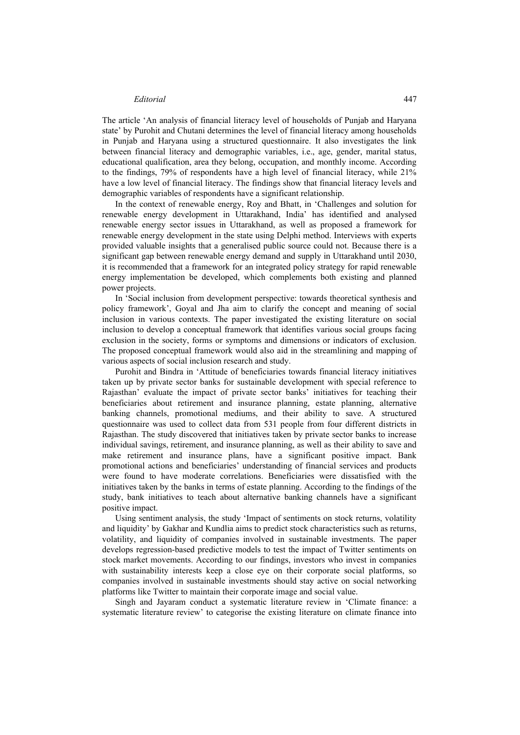The article 'An analysis of financial literacy level of households of Punjab and Haryana state' by Purohit and Chutani determines the level of financial literacy among households in Punjab and Haryana using a structured questionnaire. It also investigates the link between financial literacy and demographic variables, i.e., age, gender, marital status, educational qualification, area they belong, occupation, and monthly income. According to the findings, 79% of respondents have a high level of financial literacy, while 21% have a low level of financial literacy. The findings show that financial literacy levels and demographic variables of respondents have a significant relationship.

In the context of renewable energy, Roy and Bhatt, in 'Challenges and solution for renewable energy development in Uttarakhand, India' has identified and analysed renewable energy sector issues in Uttarakhand, as well as proposed a framework for renewable energy development in the state using Delphi method. Interviews with experts provided valuable insights that a generalised public source could not. Because there is a significant gap between renewable energy demand and supply in Uttarakhand until 2030, it is recommended that a framework for an integrated policy strategy for rapid renewable energy implementation be developed, which complements both existing and planned power projects.

In 'Social inclusion from development perspective: towards theoretical synthesis and policy framework', Goyal and Jha aim to clarify the concept and meaning of social inclusion in various contexts. The paper investigated the existing literature on social inclusion to develop a conceptual framework that identifies various social groups facing exclusion in the society, forms or symptoms and dimensions or indicators of exclusion. The proposed conceptual framework would also aid in the streamlining and mapping of various aspects of social inclusion research and study.

Purohit and Bindra in 'Attitude of beneficiaries towards financial literacy initiatives taken up by private sector banks for sustainable development with special reference to Rajasthan' evaluate the impact of private sector banks' initiatives for teaching their beneficiaries about retirement and insurance planning, estate planning, alternative banking channels, promotional mediums, and their ability to save. A structured questionnaire was used to collect data from 531 people from four different districts in Rajasthan. The study discovered that initiatives taken by private sector banks to increase individual savings, retirement, and insurance planning, as well as their ability to save and make retirement and insurance plans, have a significant positive impact. Bank promotional actions and beneficiaries' understanding of financial services and products were found to have moderate correlations. Beneficiaries were dissatisfied with the initiatives taken by the banks in terms of estate planning. According to the findings of the study, bank initiatives to teach about alternative banking channels have a significant positive impact.

Using sentiment analysis, the study 'Impact of sentiments on stock returns, volatility and liquidity' by Gakhar and Kundlia aims to predict stock characteristics such as returns, volatility, and liquidity of companies involved in sustainable investments. The paper develops regression-based predictive models to test the impact of Twitter sentiments on stock market movements. According to our findings, investors who invest in companies with sustainability interests keep a close eye on their corporate social platforms, so companies involved in sustainable investments should stay active on social networking platforms like Twitter to maintain their corporate image and social value.

Singh and Jayaram conduct a systematic literature review in 'Climate finance: a systematic literature review' to categorise the existing literature on climate finance into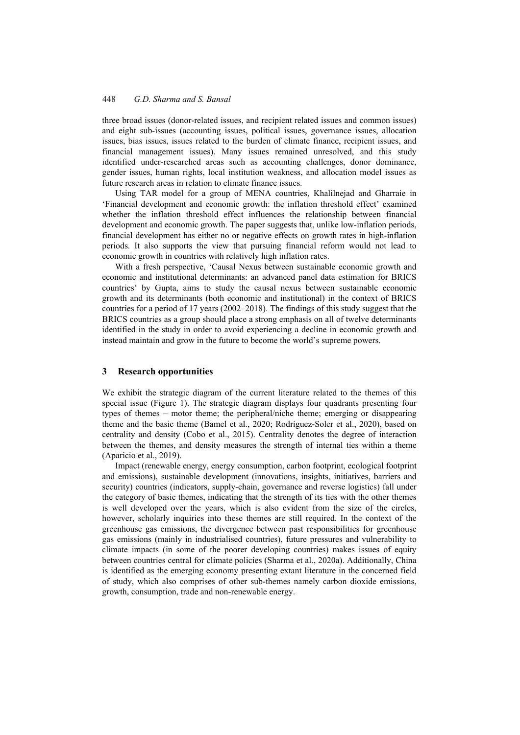three broad issues (donor-related issues, and recipient related issues and common issues) and eight sub-issues (accounting issues, political issues, governance issues, allocation issues, bias issues, issues related to the burden of climate finance, recipient issues, and financial management issues). Many issues remained unresolved, and this study identified under-researched areas such as accounting challenges, donor dominance, gender issues, human rights, local institution weakness, and allocation model issues as future research areas in relation to climate finance issues.

Using TAR model for a group of MENA countries, Khalilnejad and Gharraie in 'Financial development and economic growth: the inflation threshold effect' examined whether the inflation threshold effect influences the relationship between financial development and economic growth. The paper suggests that, unlike low-inflation periods, financial development has either no or negative effects on growth rates in high-inflation periods. It also supports the view that pursuing financial reform would not lead to economic growth in countries with relatively high inflation rates.

With a fresh perspective, 'Causal Nexus between sustainable economic growth and economic and institutional determinants: an advanced panel data estimation for BRICS countries' by Gupta, aims to study the causal nexus between sustainable economic growth and its determinants (both economic and institutional) in the context of BRICS countries for a period of 17 years (2002–2018). The findings of this study suggest that the BRICS countries as a group should place a strong emphasis on all of twelve determinants identified in the study in order to avoid experiencing a decline in economic growth and instead maintain and grow in the future to become the world's supreme powers.

#### **3 Research opportunities**

We exhibit the strategic diagram of the current literature related to the themes of this special issue (Figure 1). The strategic diagram displays four quadrants presenting four types of themes – motor theme; the peripheral/niche theme; emerging or disappearing theme and the basic theme (Bamel et al., 2020; Rodríguez-Soler et al., 2020), based on centrality and density (Cobo et al., 2015). Centrality denotes the degree of interaction between the themes, and density measures the strength of internal ties within a theme (Aparicio et al., 2019).

Impact (renewable energy, energy consumption, carbon footprint, ecological footprint and emissions), sustainable development (innovations, insights, initiatives, barriers and security) countries (indicators, supply-chain, governance and reverse logistics) fall under the category of basic themes, indicating that the strength of its ties with the other themes is well developed over the years, which is also evident from the size of the circles, however, scholarly inquiries into these themes are still required. In the context of the greenhouse gas emissions, the divergence between past responsibilities for greenhouse gas emissions (mainly in industrialised countries), future pressures and vulnerability to climate impacts (in some of the poorer developing countries) makes issues of equity between countries central for climate policies (Sharma et al., 2020a). Additionally, China is identified as the emerging economy presenting extant literature in the concerned field of study, which also comprises of other sub-themes namely carbon dioxide emissions, growth, consumption, trade and non-renewable energy.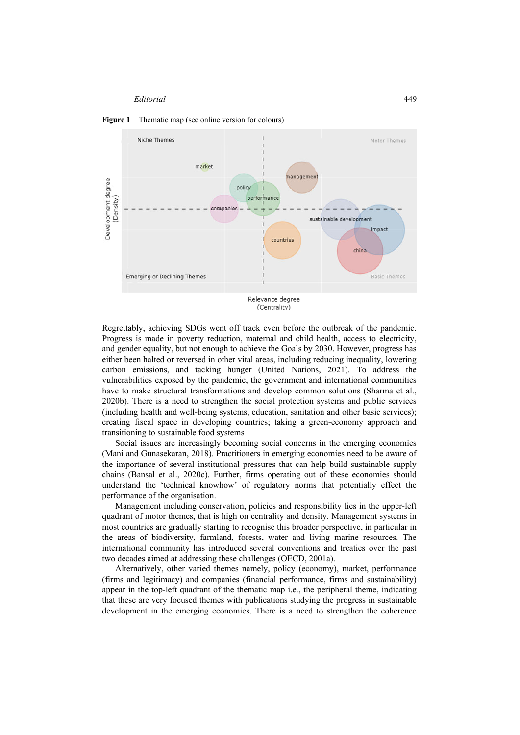



Regrettably, achieving SDGs went off track even before the outbreak of the pandemic. Progress is made in poverty reduction, maternal and child health, access to electricity, and gender equality, but not enough to achieve the Goals by 2030. However, progress has either been halted or reversed in other vital areas, including reducing inequality, lowering carbon emissions, and tacking hunger (United Nations, 2021). To address the vulnerabilities exposed by the pandemic, the government and international communities have to make structural transformations and develop common solutions (Sharma et al., 2020b). There is a need to strengthen the social protection systems and public services (including health and well-being systems, education, sanitation and other basic services); creating fiscal space in developing countries; taking a green-economy approach and transitioning to sustainable food systems

Social issues are increasingly becoming social concerns in the emerging economies (Mani and Gunasekaran, 2018). Practitioners in emerging economies need to be aware of the importance of several institutional pressures that can help build sustainable supply chains (Bansal et al., 2020c). Further, firms operating out of these economies should understand the 'technical knowhow' of regulatory norms that potentially effect the performance of the organisation.

Management including conservation, policies and responsibility lies in the upper-left quadrant of motor themes, that is high on centrality and density. Management systems in most countries are gradually starting to recognise this broader perspective, in particular in the areas of biodiversity, farmland, forests, water and living marine resources. The international community has introduced several conventions and treaties over the past two decades aimed at addressing these challenges (OECD, 2001a).

Alternatively, other varied themes namely, policy (economy), market, performance (firms and legitimacy) and companies (financial performance, firms and sustainability) appear in the top-left quadrant of the thematic map i.e., the peripheral theme, indicating that these are very focused themes with publications studying the progress in sustainable development in the emerging economies. There is a need to strengthen the coherence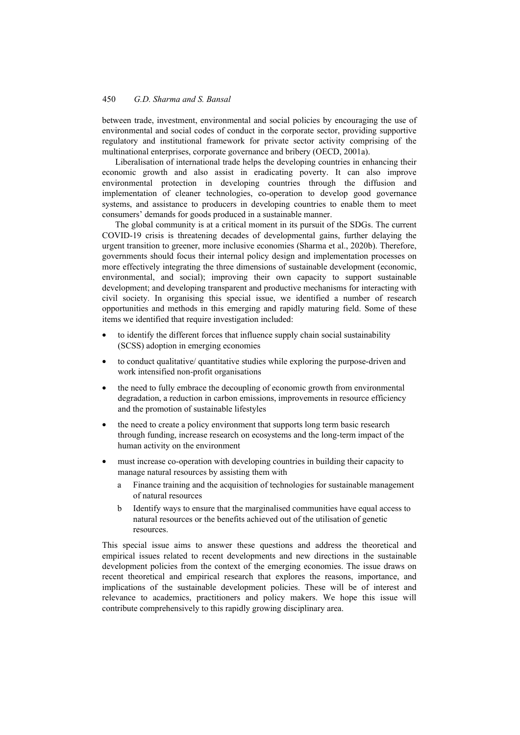between trade, investment, environmental and social policies by encouraging the use of environmental and social codes of conduct in the corporate sector, providing supportive regulatory and institutional framework for private sector activity comprising of the multinational enterprises, corporate governance and bribery (OECD, 2001a).

Liberalisation of international trade helps the developing countries in enhancing their economic growth and also assist in eradicating poverty. It can also improve environmental protection in developing countries through the diffusion and implementation of cleaner technologies, co-operation to develop good governance systems, and assistance to producers in developing countries to enable them to meet consumers' demands for goods produced in a sustainable manner.

The global community is at a critical moment in its pursuit of the SDGs. The current COVID-19 crisis is threatening decades of developmental gains, further delaying the urgent transition to greener, more inclusive economies (Sharma et al., 2020b). Therefore, governments should focus their internal policy design and implementation processes on more effectively integrating the three dimensions of sustainable development (economic, environmental, and social); improving their own capacity to support sustainable development; and developing transparent and productive mechanisms for interacting with civil society. In organising this special issue, we identified a number of research opportunities and methods in this emerging and rapidly maturing field. Some of these items we identified that require investigation included:

- to identify the different forces that influence supply chain social sustainability (SCSS) adoption in emerging economies
- to conduct qualitative/ quantitative studies while exploring the purpose-driven and work intensified non-profit organisations
- the need to fully embrace the decoupling of economic growth from environmental degradation, a reduction in carbon emissions, improvements in resource efficiency and the promotion of sustainable lifestyles
- the need to create a policy environment that supports long term basic research through funding, increase research on ecosystems and the long-term impact of the human activity on the environment
- must increase co-operation with developing countries in building their capacity to manage natural resources by assisting them with
	- a Finance training and the acquisition of technologies for sustainable management of natural resources
	- b Identify ways to ensure that the marginalised communities have equal access to natural resources or the benefits achieved out of the utilisation of genetic resources.

This special issue aims to answer these questions and address the theoretical and empirical issues related to recent developments and new directions in the sustainable development policies from the context of the emerging economies. The issue draws on recent theoretical and empirical research that explores the reasons, importance, and implications of the sustainable development policies. These will be of interest and relevance to academics, practitioners and policy makers. We hope this issue will contribute comprehensively to this rapidly growing disciplinary area.